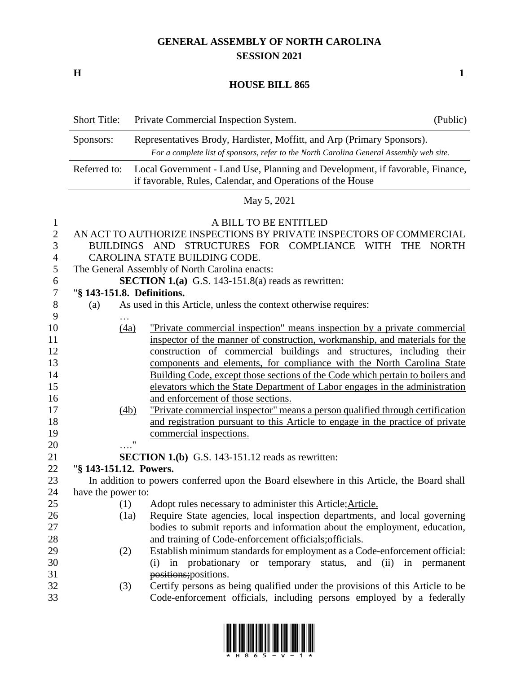# **GENERAL ASSEMBLY OF NORTH CAROLINA SESSION 2021**

**H 1**

### **HOUSE BILL 865**

|                  | <b>Short Title:</b>                                                                                                                         | Private Commercial Inspection System.<br>(Public)                                         |  |  |  |  |
|------------------|---------------------------------------------------------------------------------------------------------------------------------------------|-------------------------------------------------------------------------------------------|--|--|--|--|
| Sponsors:        |                                                                                                                                             | Representatives Brody, Hardister, Moffitt, and Arp (Primary Sponsors).                    |  |  |  |  |
|                  | For a complete list of sponsors, refer to the North Carolina General Assembly web site.                                                     |                                                                                           |  |  |  |  |
|                  | Local Government - Land Use, Planning and Development, if favorable, Finance,<br>if favorable, Rules, Calendar, and Operations of the House |                                                                                           |  |  |  |  |
|                  |                                                                                                                                             | May 5, 2021                                                                               |  |  |  |  |
| $\mathbf{1}$     |                                                                                                                                             | A BILL TO BE ENTITLED                                                                     |  |  |  |  |
| $\sqrt{2}$       |                                                                                                                                             | AN ACT TO AUTHORIZE INSPECTIONS BY PRIVATE INSPECTORS OF COMMERCIAL                       |  |  |  |  |
| 3                | <b>BUILDINGS</b>                                                                                                                            | AND<br>STRUCTURES FOR COMPLIANCE<br>WITH<br><b>THE</b><br><b>NORTH</b>                    |  |  |  |  |
| $\overline{4}$   |                                                                                                                                             | CAROLINA STATE BUILDING CODE.                                                             |  |  |  |  |
| 5                |                                                                                                                                             | The General Assembly of North Carolina enacts:                                            |  |  |  |  |
| 6                |                                                                                                                                             | <b>SECTION 1.(a)</b> G.S. 143-151.8(a) reads as rewritten:                                |  |  |  |  |
| $\boldsymbol{7}$ |                                                                                                                                             | "§ 143-151.8. Definitions.                                                                |  |  |  |  |
| $8\,$            | (a)                                                                                                                                         | As used in this Article, unless the context otherwise requires:                           |  |  |  |  |
| 9                |                                                                                                                                             |                                                                                           |  |  |  |  |
| 10               |                                                                                                                                             | "Private commercial inspection" means inspection by a private commercial<br>(4a)          |  |  |  |  |
| 11               |                                                                                                                                             | inspector of the manner of construction, workmanship, and materials for the               |  |  |  |  |
| 12               |                                                                                                                                             | construction of commercial buildings and structures, including their                      |  |  |  |  |
| 13               |                                                                                                                                             | components and elements, for compliance with the North Carolina State                     |  |  |  |  |
| 14               |                                                                                                                                             | Building Code, except those sections of the Code which pertain to boilers and             |  |  |  |  |
| 15               |                                                                                                                                             | elevators which the State Department of Labor engages in the administration               |  |  |  |  |
| 16               |                                                                                                                                             | and enforcement of those sections.                                                        |  |  |  |  |
| 17               |                                                                                                                                             | "Private commercial inspector" means a person qualified through certification<br>(4b)     |  |  |  |  |
| 18               |                                                                                                                                             | and registration pursuant to this Article to engage in the practice of private            |  |  |  |  |
| 19               |                                                                                                                                             | commercial inspections.<br>"                                                              |  |  |  |  |
| 20               |                                                                                                                                             |                                                                                           |  |  |  |  |
| 21               | "§ 143-151.12. Powers.                                                                                                                      | <b>SECTION 1.(b)</b> G.S. 143-151.12 reads as rewritten:                                  |  |  |  |  |
| 22<br>23         |                                                                                                                                             |                                                                                           |  |  |  |  |
| 24               |                                                                                                                                             | In addition to powers conferred upon the Board elsewhere in this Article, the Board shall |  |  |  |  |
| 25               | have the power to:<br>(1)                                                                                                                   | Adopt rules necessary to administer this Article; Article.                                |  |  |  |  |
| 26               |                                                                                                                                             | Require State agencies, local inspection departments, and local governing<br>(1a)         |  |  |  |  |
| $27\,$           |                                                                                                                                             | bodies to submit reports and information about the employment, education,                 |  |  |  |  |
| 28               |                                                                                                                                             | and training of Code-enforcement officials; officials.                                    |  |  |  |  |
| 29               | (2)                                                                                                                                         | Establish minimum standards for employment as a Code-enforcement official:                |  |  |  |  |
| 30               |                                                                                                                                             | in probationary or temporary status, and (ii)<br>in permanent<br>(i)                      |  |  |  |  |
| 31               |                                                                                                                                             | positions; positions.                                                                     |  |  |  |  |
| 32               | (3)                                                                                                                                         | Certify persons as being qualified under the provisions of this Article to be             |  |  |  |  |
| 33               |                                                                                                                                             | Code-enforcement officials, including persons employed by a federally                     |  |  |  |  |

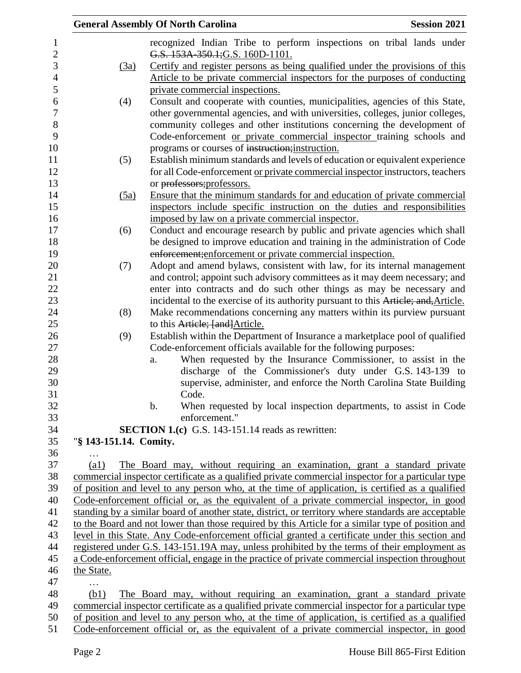|                        | <b>General Assembly Of North Carolina</b>                                                           | <b>Session 2021</b> |
|------------------------|-----------------------------------------------------------------------------------------------------|---------------------|
|                        | recognized Indian Tribe to perform inspections on tribal lands under                                |                     |
|                        | G.S. 153A 350.1; G.S. 160D-1101.                                                                    |                     |
| (3a)                   | Certify and register persons as being qualified under the provisions of this                        |                     |
|                        | Article to be private commercial inspectors for the purposes of conducting                          |                     |
|                        | private commercial inspections.                                                                     |                     |
| (4)                    | Consult and cooperate with counties, municipalities, agencies of this State,                        |                     |
|                        | other governmental agencies, and with universities, colleges, junior colleges,                      |                     |
|                        | community colleges and other institutions concerning the development of                             |                     |
|                        | Code-enforcement or private commercial inspector training schools and                               |                     |
|                        | programs or courses of instruction; instruction.                                                    |                     |
| (5)                    | Establish minimum standards and levels of education or equivalent experience                        |                     |
|                        | for all Code-enforcement or private commercial inspector instructors, teachers                      |                     |
|                        | or professors; professors.                                                                          |                     |
| (5a)                   | Ensure that the minimum standards for and education of private commercial                           |                     |
|                        | inspectors include specific instruction on the duties and responsibilities                          |                     |
|                        | imposed by law on a private commercial inspector.                                                   |                     |
| (6)                    | Conduct and encourage research by public and private agencies which shall                           |                     |
|                        | be designed to improve education and training in the administration of Code                         |                     |
|                        | enforcement; enforcement or private commercial inspection.                                          |                     |
| (7)                    | Adopt and amend bylaws, consistent with law, for its internal management                            |                     |
|                        | and control; appoint such advisory committees as it may deem necessary; and                         |                     |
|                        | enter into contracts and do such other things as may be necessary and                               |                     |
|                        | incidental to the exercise of its authority pursuant to this Article; and, Article.                 |                     |
| (8)                    | Make recommendations concerning any matters within its purview pursuant                             |                     |
|                        | to this Article; [and] Article.                                                                     |                     |
| (9)                    | Establish within the Department of Insurance a marketplace pool of qualified                        |                     |
|                        | Code-enforcement officials available for the following purposes:                                    |                     |
|                        | When requested by the Insurance Commissioner, to assist in the<br>a.                                |                     |
|                        | discharge of the Commissioner's duty under G.S. 143-139 to                                          |                     |
|                        | supervise, administer, and enforce the North Carolina State Building                                |                     |
|                        | Code.                                                                                               |                     |
|                        | When requested by local inspection departments, to assist in Code<br>b.                             |                     |
|                        | enforcement."                                                                                       |                     |
|                        | <b>SECTION 1.(c)</b> G.S. 143-151.14 reads as rewritten:                                            |                     |
| "§ 143-151.14. Comity. |                                                                                                     |                     |
|                        |                                                                                                     |                     |
| $\left( a1\right)$     | The Board may, without requiring an examination, grant a standard private                           |                     |
|                        | commercial inspector certificate as a qualified private commercial inspector for a particular type  |                     |
|                        | of position and level to any person who, at the time of application, is certified as a qualified    |                     |
|                        | Code-enforcement official or, as the equivalent of a private commercial inspector, in good          |                     |
|                        | standing by a similar board of another state, district, or territory where standards are acceptable |                     |
|                        | to the Board and not lower than those required by this Article for a similar type of position and   |                     |
|                        | level in this State. Any Code-enforcement official granted a certificate under this section and     |                     |
|                        | registered under G.S. 143-151.19A may, unless prohibited by the terms of their employment as        |                     |
|                        | a Code-enforcement official, engage in the practice of private commercial inspection throughout     |                     |
| the State.             |                                                                                                     |                     |
| .                      |                                                                                                     |                     |
| (b1)                   | The Board may, without requiring an examination, grant a standard private                           |                     |
|                        | commercial inspector certificate as a qualified private commercial inspector for a particular type  |                     |
|                        | of position and level to any person who, at the time of application, is certified as a qualified    |                     |
|                        | Code-enforcement official or, as the equivalent of a private commercial inspector, in good          |                     |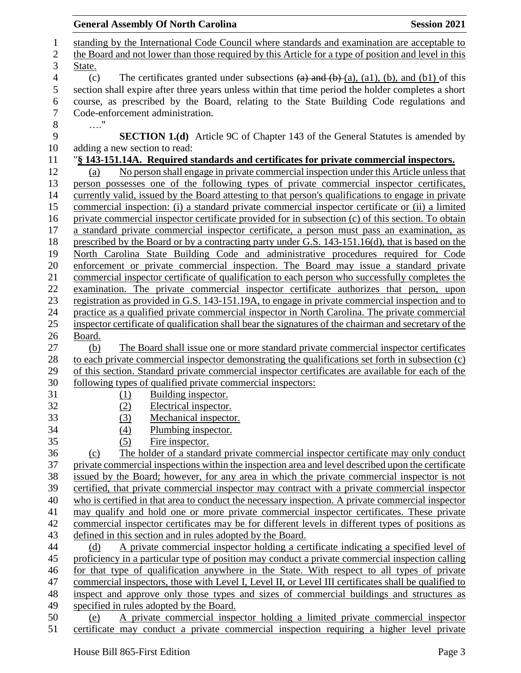**General Assembly Of North Carolina Session 2021**  standing by the International Code Council where standards and examination are acceptable to the Board and not lower than those required by this Article for a type of position and level in this State. 4 (c) The certificates granted under subsections  $(a)$  and  $(b)+(a)$ ,  $(a1)$ ,  $(b)$ , and  $(b1)$  of this section shall expire after three years unless within that time period the holder completes a short course, as prescribed by the Board, relating to the State Building Code regulations and Code-enforcement administration. …." **SECTION 1.(d)** Article 9C of Chapter 143 of the General Statutes is amended by adding a new section to read: "**§ 143-151.14A. Required standards and certificates for private commercial inspectors.** (a) No person shall engage in private commercial inspection under this Article unless that person possesses one of the following types of private commercial inspector certificates, currently valid, issued by the Board attesting to that person's qualifications to engage in private commercial inspection: (i) a standard private commercial inspector certificate or (ii) a limited private commercial inspector certificate provided for in subsection (c) of this section. To obtain a standard private commercial inspector certificate, a person must pass an examination, as prescribed by the Board or by a contracting party under G.S. 143-151.16(d), that is based on the North Carolina State Building Code and administrative procedures required for Code enforcement or private commercial inspection. The Board may issue a standard private commercial inspector certificate of qualification to each person who successfully completes the examination. The private commercial inspector certificate authorizes that person, upon registration as provided in G.S. 143-151.19A, to engage in private commercial inspection and to practice as a qualified private commercial inspector in North Carolina. The private commercial inspector certificate of qualification shall bear the signatures of the chairman and secretary of the Board. (b) The Board shall issue one or more standard private commercial inspector certificates to each private commercial inspector demonstrating the qualifications set forth in subsection (c) of this section. Standard private commercial inspector certificates are available for each of the following types of qualified private commercial inspectors: (1) Building inspector. (2) Electrical inspector. (3) Mechanical inspector. (4) Plumbing inspector. (5) Fire inspector. (c) The holder of a standard private commercial inspector certificate may only conduct private commercial inspections within the inspection area and level described upon the certificate issued by the Board; however, for any area in which the private commercial inspector is not certified, that private commercial inspector may contract with a private commercial inspector who is certified in that area to conduct the necessary inspection. A private commercial inspector may qualify and hold one or more private commercial inspector certificates. These private commercial inspector certificates may be for different levels in different types of positions as defined in this section and in rules adopted by the Board. (d) A private commercial inspector holding a certificate indicating a specified level of proficiency in a particular type of position may conduct a private commercial inspection calling for that type of qualification anywhere in the State. With respect to all types of private commercial inspectors, those with Level I, Level II, or Level III certificates shall be qualified to inspect and approve only those types and sizes of commercial buildings and structures as specified in rules adopted by the Board. (e) A private commercial inspector holding a limited private commercial inspector certificate may conduct a private commercial inspection requiring a higher level private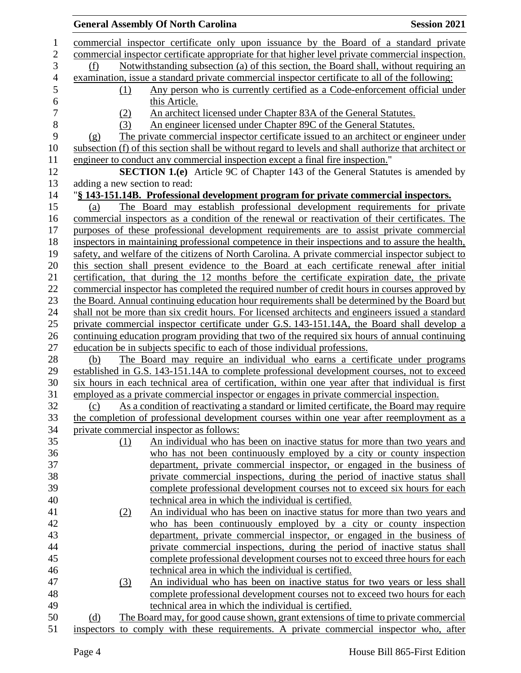|                |                               | <b>General Assembly Of North Carolina</b>                                                              | <b>Session 2021</b> |
|----------------|-------------------------------|--------------------------------------------------------------------------------------------------------|---------------------|
| 1              |                               | commercial inspector certificate only upon issuance by the Board of a standard private                 |                     |
| $\overline{2}$ |                               | commercial inspector certificate appropriate for that higher level private commercial inspection.      |                     |
| 3              | (f)                           | Notwithstanding subsection (a) of this section, the Board shall, without requiring an                  |                     |
| $\overline{4}$ |                               | examination, issue a standard private commercial inspector certificate to all of the following:        |                     |
| 5              | (1)                           | Any person who is currently certified as a Code-enforcement official under                             |                     |
| 6              |                               | this Article.                                                                                          |                     |
| $\overline{7}$ | (2)                           | An architect licensed under Chapter 83A of the General Statutes.                                       |                     |
| 8              | (3)                           | An engineer licensed under Chapter 89C of the General Statutes.                                        |                     |
| 9              | (g)                           | The private commercial inspector certificate issued to an architect or engineer under                  |                     |
| 10             |                               | subsection (f) of this section shall be without regard to levels and shall authorize that architect or |                     |
| 11             |                               | engineer to conduct any commercial inspection except a final fire inspection."                         |                     |
| 12             |                               | <b>SECTION 1.(e)</b> Article 9C of Chapter 143 of the General Statutes is amended by                   |                     |
| 13             | adding a new section to read: |                                                                                                        |                     |
| 14             |                               | "§ 143-151.14B. Professional development program for private commercial inspectors.                    |                     |
| 15             | (a)                           | The Board may establish professional development requirements for private                              |                     |
| 16             |                               | commercial inspectors as a condition of the renewal or reactivation of their certificates. The         |                     |
| 17             |                               | purposes of these professional development requirements are to assist private commercial               |                     |
| 18             |                               | inspectors in maintaining professional competence in their inspections and to assure the health,       |                     |
| 19             |                               | safety, and welfare of the citizens of North Carolina. A private commercial inspector subject to       |                     |
| 20             |                               | this section shall present evidence to the Board at each certificate renewal after initial             |                     |
| 21             |                               | certification, that during the 12 months before the certificate expiration date, the private           |                     |
| 22             |                               | commercial inspector has completed the required number of credit hours in courses approved by          |                     |
| 23             |                               | the Board. Annual continuing education hour requirements shall be determined by the Board but          |                     |
| 24             |                               | shall not be more than six credit hours. For licensed architects and engineers issued a standard       |                     |
| 25             |                               | private commercial inspector certificate under G.S. 143-151.14A, the Board shall develop a             |                     |
| 26             |                               | continuing education program providing that two of the required six hours of annual continuing         |                     |
| 27             |                               | education be in subjects specific to each of those individual professions.                             |                     |
| 28             | (b)                           | The Board may require an individual who earns a certificate under programs                             |                     |
| 29             |                               | established in G.S. 143-151.14A to complete professional development courses, not to exceed            |                     |
| 30             |                               | six hours in each technical area of certification, within one year after that individual is first      |                     |
| 31             |                               | employed as a private commercial inspector or engages in private commercial inspection.                |                     |
| 32             | (c)                           | As a condition of reactivating a standard or limited certificate, the Board may require                |                     |
| 33             |                               | the completion of professional development courses within one year after reemployment as a             |                     |
| 34             |                               | private commercial inspector as follows:                                                               |                     |
| 35             | (1)                           | An individual who has been on inactive status for more than two years and                              |                     |
| 36             |                               | who has not been continuously employed by a city or county inspection                                  |                     |
| 37             |                               | department, private commercial inspector, or engaged in the business of                                |                     |
| 38             |                               | private commercial inspections, during the period of inactive status shall                             |                     |
| 39             |                               | complete professional development courses not to exceed six hours for each                             |                     |
| 40             |                               | technical area in which the individual is certified.                                                   |                     |
| 41             | (2)                           | An individual who has been on inactive status for more than two years and                              |                     |
| 42             |                               | who has been continuously employed by a city or county inspection                                      |                     |
| 43             |                               | department, private commercial inspector, or engaged in the business of                                |                     |
| 44             |                               | private commercial inspections, during the period of inactive status shall                             |                     |
| 45             |                               | complete professional development courses not to exceed three hours for each                           |                     |
| 46             |                               | technical area in which the individual is certified.                                                   |                     |
| 47             | (3)                           | An individual who has been on inactive status for two years or less shall                              |                     |
| 48             |                               | complete professional development courses not to exceed two hours for each                             |                     |
| 49             |                               | technical area in which the individual is certified.                                                   |                     |
| 50             | (d)                           | The Board may, for good cause shown, grant extensions of time to private commercial                    |                     |
| 51             |                               | inspectors to comply with these requirements. A private commercial inspector who, after                |                     |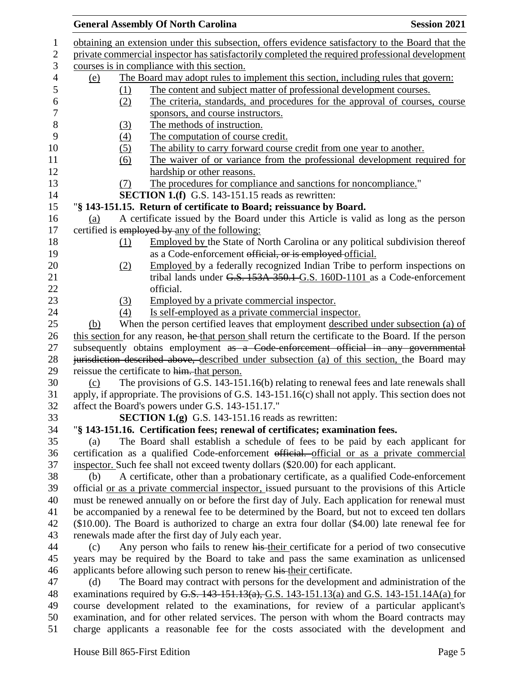|     |     | <b>General Assembly Of North Carolina</b>                                                                | <b>Session 2021</b> |
|-----|-----|----------------------------------------------------------------------------------------------------------|---------------------|
|     |     | obtaining an extension under this subsection, offers evidence satisfactory to the Board that the         |                     |
|     |     | private commercial inspector has satisfactorily completed the required professional development          |                     |
|     |     | courses is in compliance with this section.                                                              |                     |
| (e) |     | The Board may adopt rules to implement this section, including rules that govern:                        |                     |
|     | (1) | The content and subject matter of professional development courses.                                      |                     |
|     | (2) | The criteria, standards, and procedures for the approval of courses, course                              |                     |
|     |     | sponsors, and course instructors.                                                                        |                     |
|     | (3) | The methods of instruction.                                                                              |                     |
|     | (4) | The computation of course credit.                                                                        |                     |
|     | (5) | The ability to carry forward course credit from one year to another.                                     |                     |
|     | (6) | The waiver of or variance from the professional development required for                                 |                     |
|     |     | hardship or other reasons.                                                                               |                     |
|     | (7) | The procedures for compliance and sanctions for noncompliance."                                          |                     |
|     |     | <b>SECTION 1.(f)</b> G.S. 143-151.15 reads as rewritten:                                                 |                     |
|     |     | "§ 143-151.15. Return of certificate to Board; reissuance by Board.                                      |                     |
| (a) |     | A certificate issued by the Board under this Article is valid as long as the person                      |                     |
|     |     | certified is employed by any of the following:                                                           |                     |
|     | (1) | Employed by the State of North Carolina or any political subdivision thereof                             |                     |
|     |     | as a Code-enforcement official, or is employed official.                                                 |                     |
|     | (2) | Employed by a federally recognized Indian Tribe to perform inspections on                                |                     |
|     |     | tribal lands under G.S. 153A-350.1-G.S. 160D-1101 as a Code-enforcement                                  |                     |
|     |     | official.                                                                                                |                     |
|     | (3) | Employed by a private commercial inspector.                                                              |                     |
|     | (4) | Is self-employed as a private commercial inspector.                                                      |                     |
| (b) |     | When the person certified leaves that employment described under subsection (a) of                       |                     |
|     |     | this section for any reason, he that person shall return the certificate to the Board. If the person     |                     |
|     |     | subsequently obtains employment as a Code-enforcement official in any governmental                       |                     |
|     |     | jurisdiction described above, described under subsection (a) of this section, the Board may              |                     |
|     |     | reissue the certificate to him. that person.                                                             |                     |
| (c) |     | The provisions of G.S. 143-151.16(b) relating to renewal fees and late renewals shall                    |                     |
|     |     | apply, if appropriate. The provisions of G.S. 143-151.16(c) shall not apply. This section does not       |                     |
|     |     | affect the Board's powers under G.S. 143-151.17."                                                        |                     |
|     |     | <b>SECTION 1.(g)</b> G.S. 143-151.16 reads as rewritten:                                                 |                     |
|     |     | "§ 143-151.16. Certification fees; renewal of certificates; examination fees.                            |                     |
| (a) |     | The Board shall establish a schedule of fees to be paid by each applicant for                            |                     |
|     |     | certification as a qualified Code-enforcement official. official or as a private commercial              |                     |
|     |     | inspector. Such fee shall not exceed twenty dollars (\$20.00) for each applicant.                        |                     |
| (b) |     | A certificate, other than a probationary certificate, as a qualified Code-enforcement                    |                     |
|     |     | official <u>or as a private commercial inspector</u> , issued pursuant to the provisions of this Article |                     |
|     |     | must be renewed annually on or before the first day of July. Each application for renewal must           |                     |
|     |     | be accompanied by a renewal fee to be determined by the Board, but not to exceed ten dollars             |                     |
|     |     | (\$10.00). The Board is authorized to charge an extra four dollar (\$4.00) late renewal fee for          |                     |
|     |     | renewals made after the first day of July each year.                                                     |                     |
| (c) |     | Any person who fails to renew his their certificate for a period of two consecutive                      |                     |
|     |     | years may be required by the Board to take and pass the same examination as unlicensed                   |                     |
|     |     | applicants before allowing such person to renew his their certificate.                                   |                     |
| (d) |     | The Board may contract with persons for the development and administration of the                        |                     |
|     |     | examinations required by G.S. $143-151.13(a)$ , G.S. $143-151.13(a)$ and G.S. $143-151.14A(a)$ for       |                     |
|     |     | course development related to the examinations, for review of a particular applicant's                   |                     |
|     |     | examination, and for other related services. The person with whom the Board contracts may                |                     |
|     |     | charge applicants a reasonable fee for the costs associated with the development and                     |                     |
|     |     |                                                                                                          |                     |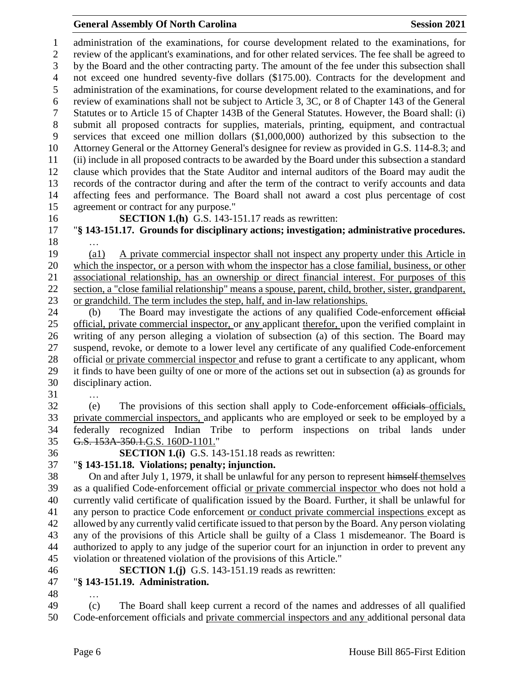## **General Assembly Of North Carolina Session 2021**

 administration of the examinations, for course development related to the examinations, for review of the applicant's examinations, and for other related services. The fee shall be agreed to by the Board and the other contracting party. The amount of the fee under this subsection shall not exceed one hundred seventy-five dollars (\$175.00). Contracts for the development and administration of the examinations, for course development related to the examinations, and for review of examinations shall not be subject to Article 3, 3C, or 8 of Chapter 143 of the General Statutes or to Article 15 of Chapter 143B of the General Statutes. However, the Board shall: (i) submit all proposed contracts for supplies, materials, printing, equipment, and contractual services that exceed one million dollars (\$1,000,000) authorized by this subsection to the Attorney General or the Attorney General's designee for review as provided in G.S. 114-8.3; and (ii) include in all proposed contracts to be awarded by the Board under this subsection a standard clause which provides that the State Auditor and internal auditors of the Board may audit the records of the contractor during and after the term of the contract to verify accounts and data affecting fees and performance. The Board shall not award a cost plus percentage of cost agreement or contract for any purpose."

**SECTION 1.(h)** G.S. 143-151.17 reads as rewritten:

 "**§ 143-151.17. Grounds for disciplinary actions; investigation; administrative procedures.** …

 (a1) A private commercial inspector shall not inspect any property under this Article in which the inspector, or a person with whom the inspector has a close familial, business, or other associational relationship, has an ownership or direct financial interest. For purposes of this section, a "close familial relationship" means a spouse, parent, child, brother, sister, grandparent, or grandchild. The term includes the step, half, and in-law relationships.

24 (b) The Board may investigate the actions of any qualified Code-enforcement official official, private commercial inspector, or any applicant therefor, upon the verified complaint in writing of any person alleging a violation of subsection (a) of this section. The Board may suspend, revoke, or demote to a lower level any certificate of any qualified Code-enforcement official or private commercial inspector and refuse to grant a certificate to any applicant, whom it finds to have been guilty of one or more of the actions set out in subsection (a) as grounds for disciplinary action.

…

 (e) The provisions of this section shall apply to Code-enforcement officials officials, private commercial inspectors, and applicants who are employed or seek to be employed by a federally recognized Indian Tribe to perform inspections on tribal lands under G.S. 153A-350.1.G.S. 160D-1101."

#### **SECTION 1.(i)** G.S. 143-151.18 reads as rewritten: "**§ 143-151.18. Violations; penalty; injunction.**

 On and after July 1, 1979, it shall be unlawful for any person to represent himself themselves as a qualified Code-enforcement official or private commercial inspector who does not hold a currently valid certificate of qualification issued by the Board. Further, it shall be unlawful for any person to practice Code enforcement or conduct private commercial inspections except as allowed by any currently valid certificate issued to that person by the Board. Any person violating any of the provisions of this Article shall be guilty of a Class 1 misdemeanor. The Board is authorized to apply to any judge of the superior court for an injunction in order to prevent any violation or threatened violation of the provisions of this Article."

- **SECTION 1.(j)** G.S. 143-151.19 reads as rewritten:
- "**§ 143-151.19. Administration.**
- …

 (c) The Board shall keep current a record of the names and addresses of all qualified Code-enforcement officials and private commercial inspectors and any additional personal data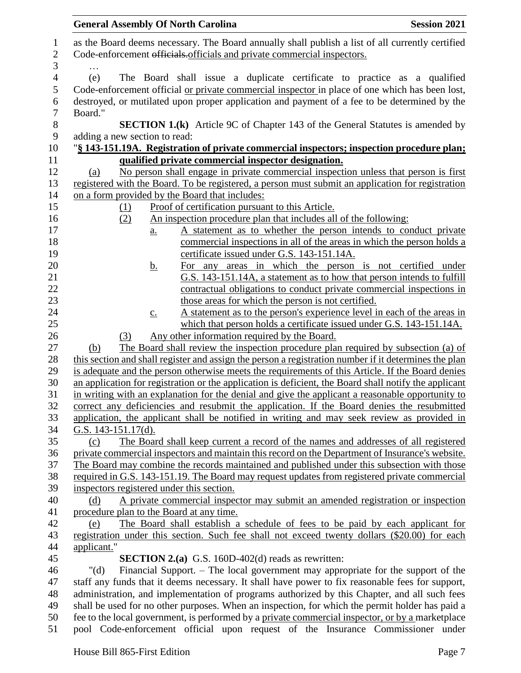|                | <b>General Assembly Of North Carolina</b><br><b>Session 2021</b>                                                                                                                    |
|----------------|-------------------------------------------------------------------------------------------------------------------------------------------------------------------------------------|
| $\mathbf{1}$   | as the Board deems necessary. The Board annually shall publish a list of all currently certified                                                                                    |
| $\mathbf{2}$   | Code-enforcement officials. officials and private commercial inspectors.                                                                                                            |
| 3              |                                                                                                                                                                                     |
| $\overline{4}$ | (e)<br>The Board shall issue a duplicate certificate to practice as a qualified                                                                                                     |
| 5              | Code-enforcement official <u>or private commercial inspector</u> in place of one which has been lost,                                                                               |
| 6              | destroyed, or mutilated upon proper application and payment of a fee to be determined by the                                                                                        |
| 7              | Board."                                                                                                                                                                             |
| 8              | <b>SECTION 1.(k)</b> Article 9C of Chapter 143 of the General Statutes is amended by                                                                                                |
| 9              | adding a new section to read:                                                                                                                                                       |
| 10             | "§ 143-151.19A. Registration of private commercial inspectors; inspection procedure plan;                                                                                           |
| 11             | qualified private commercial inspector designation.                                                                                                                                 |
| 12             | No person shall engage in private commercial inspection unless that person is first<br>(a)                                                                                          |
| 13             | registered with the Board. To be registered, a person must submit an application for registration                                                                                   |
| 14             | on a form provided by the Board that includes:                                                                                                                                      |
| 15             | Proof of certification pursuant to this Article.<br>(1)                                                                                                                             |
| 16             | An inspection procedure plan that includes all of the following:<br>(2)                                                                                                             |
| 17             | A statement as to whether the person intends to conduct private<br>$\underline{a}$ .                                                                                                |
| 18             | commercial inspections in all of the areas in which the person holds a                                                                                                              |
| 19             | certificate issued under G.S. 143-151.14A.                                                                                                                                          |
| 20             | For any areas in which the person is not certified under<br><u>b.</u>                                                                                                               |
| 21             | G.S. 143-151.14A, a statement as to how that person intends to fulfill                                                                                                              |
| 22             | contractual obligations to conduct private commercial inspections in                                                                                                                |
| 23             | those areas for which the person is not certified.                                                                                                                                  |
| 24             | A statement as to the person's experience level in each of the areas in<br>$\underline{c}$ .                                                                                        |
| 25             | which that person holds a certificate issued under G.S. 143-151.14A.                                                                                                                |
| 26<br>27       | Any other information required by the Board.<br>(3)<br>The Board shall review the inspection procedure plan required by subsection (a) of                                           |
| 28             | (b)<br>this section and shall register and assign the person a registration number if it determines the plan                                                                        |
| 29             | is adequate and the person otherwise meets the requirements of this Article. If the Board denies                                                                                    |
| 30             | an application for registration or the application is deficient, the Board shall notify the applicant                                                                               |
| 31             | in writing with an explanation for the denial and give the applicant a reasonable opportunity to                                                                                    |
| 32             | correct any deficiencies and resubmit the application. If the Board denies the resubmitted                                                                                          |
| 33             | application, the applicant shall be notified in writing and may seek review as provided in                                                                                          |
| 34             | G.S. $143-151.17(d)$ .                                                                                                                                                              |
| 35             | The Board shall keep current a record of the names and addresses of all registered<br>(c)                                                                                           |
| 36             | private commercial inspectors and maintain this record on the Department of Insurance's website.                                                                                    |
| 37             | The Board may combine the records maintained and published under this subsection with those                                                                                         |
| 38             | required in G.S. 143-151.19. The Board may request updates from registered private commercial                                                                                       |
| 39             | inspectors registered under this section.                                                                                                                                           |
| 40             | A private commercial inspector may submit an amended registration or inspection<br>(d)                                                                                              |
| 41             | procedure plan to the Board at any time.                                                                                                                                            |
| 42             | The Board shall establish a schedule of fees to be paid by each applicant for<br>(e)                                                                                                |
| 43             | registration under this section. Such fee shall not exceed twenty dollars (\$20.00) for each                                                                                        |
| 44             | applicant."                                                                                                                                                                         |
| 45             | <b>SECTION 2.(a)</b> G.S. 160D-402(d) reads as rewritten:                                                                                                                           |
| 46             | Financial Support. – The local government may appropriate for the support of the<br>" $(d)$                                                                                         |
| 47             | staff any funds that it deems necessary. It shall have power to fix reasonable fees for support,                                                                                    |
| 48             | administration, and implementation of programs authorized by this Chapter, and all such fees                                                                                        |
| 49<br>50       | shall be used for no other purposes. When an inspection, for which the permit holder has paid a                                                                                     |
| 51             | fee to the local government, is performed by a private commercial inspector, or by a marketplace<br>pool Code-enforcement official upon request of the Insurance Commissioner under |
|                |                                                                                                                                                                                     |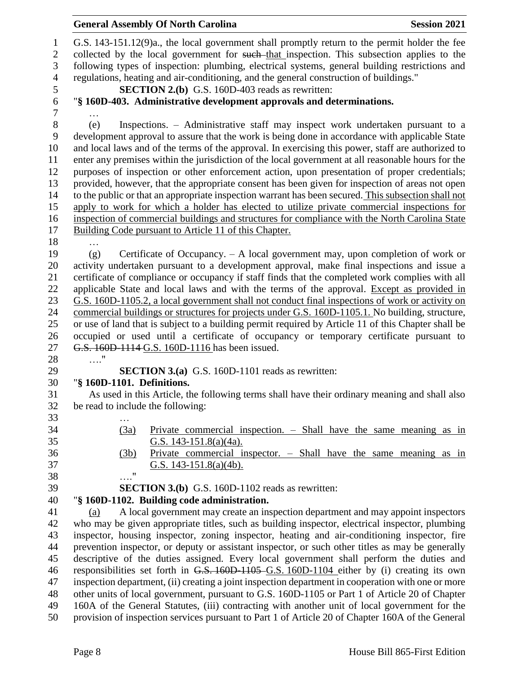|                                 | <b>General Assembly Of North Carolina</b><br><b>Session 2021</b>                                                                                                                                                                                                                              |                                                                                                     |  |  |  |  |
|---------------------------------|-----------------------------------------------------------------------------------------------------------------------------------------------------------------------------------------------------------------------------------------------------------------------------------------------|-----------------------------------------------------------------------------------------------------|--|--|--|--|
| $\mathbf{1}$<br>$\sqrt{2}$<br>3 | G.S. 143-151.12(9)a., the local government shall promptly return to the permit holder the fee<br>collected by the local government for such-that inspection. This subsection applies to the<br>following types of inspection: plumbing, electrical systems, general building restrictions and |                                                                                                     |  |  |  |  |
| $\overline{4}$                  | regulations, heating and air-conditioning, and the general construction of buildings."                                                                                                                                                                                                        |                                                                                                     |  |  |  |  |
| 5                               | <b>SECTION 2.(b)</b> G.S. 160D-403 reads as rewritten:                                                                                                                                                                                                                                        |                                                                                                     |  |  |  |  |
| 6                               | "§ 160D-403. Administrative development approvals and determinations.                                                                                                                                                                                                                         |                                                                                                     |  |  |  |  |
| 7                               |                                                                                                                                                                                                                                                                                               |                                                                                                     |  |  |  |  |
| $8\,$<br>9                      | Inspections. – Administrative staff may inspect work undertaken pursuant to a<br>(e)<br>development approval to assure that the work is being done in accordance with applicable State                                                                                                        |                                                                                                     |  |  |  |  |
| 10                              | and local laws and of the terms of the approval. In exercising this power, staff are authorized to                                                                                                                                                                                            |                                                                                                     |  |  |  |  |
| 11                              | enter any premises within the jurisdiction of the local government at all reasonable hours for the                                                                                                                                                                                            |                                                                                                     |  |  |  |  |
| 12                              | purposes of inspection or other enforcement action, upon presentation of proper credentials;                                                                                                                                                                                                  |                                                                                                     |  |  |  |  |
| 13                              | provided, however, that the appropriate consent has been given for inspection of areas not open                                                                                                                                                                                               |                                                                                                     |  |  |  |  |
| 14                              | to the public or that an appropriate inspection warrant has been secured. This subsection shall not                                                                                                                                                                                           |                                                                                                     |  |  |  |  |
| 15                              | apply to work for which a holder has elected to utilize private commercial inspections for                                                                                                                                                                                                    |                                                                                                     |  |  |  |  |
| 16                              | inspection of commercial buildings and structures for compliance with the North Carolina State                                                                                                                                                                                                |                                                                                                     |  |  |  |  |
| 17                              | Building Code pursuant to Article 11 of this Chapter.                                                                                                                                                                                                                                         |                                                                                                     |  |  |  |  |
| 18                              |                                                                                                                                                                                                                                                                                               |                                                                                                     |  |  |  |  |
| 19                              | Certificate of Occupancy. $- A$ local government may, upon completion of work or<br>(g)                                                                                                                                                                                                       |                                                                                                     |  |  |  |  |
| 20                              | activity undertaken pursuant to a development approval, make final inspections and issue a                                                                                                                                                                                                    |                                                                                                     |  |  |  |  |
| 21                              | certificate of compliance or occupancy if staff finds that the completed work complies with all                                                                                                                                                                                               |                                                                                                     |  |  |  |  |
| 22                              | applicable State and local laws and with the terms of the approval. Except as provided in                                                                                                                                                                                                     |                                                                                                     |  |  |  |  |
| 23                              | G.S. 160D-1105.2, a local government shall not conduct final inspections of work or activity on                                                                                                                                                                                               |                                                                                                     |  |  |  |  |
| 24                              | commercial buildings or structures for projects under G.S. 160D-1105.1. No building, structure,                                                                                                                                                                                               |                                                                                                     |  |  |  |  |
| 25                              |                                                                                                                                                                                                                                                                                               | or use of land that is subject to a building permit required by Article 11 of this Chapter shall be |  |  |  |  |
| 26                              | occupied or used until a certificate of occupancy or temporary certificate pursuant to                                                                                                                                                                                                        |                                                                                                     |  |  |  |  |
| 27                              | G.S. 160D-1114-G.S. 160D-1116 has been issued.                                                                                                                                                                                                                                                |                                                                                                     |  |  |  |  |
| 28                              | $\ldots$ "                                                                                                                                                                                                                                                                                    |                                                                                                     |  |  |  |  |
| 29                              | <b>SECTION 3.(a)</b> G.S. 160D-1101 reads as rewritten:                                                                                                                                                                                                                                       |                                                                                                     |  |  |  |  |
| 30                              | "§ 160D-1101. Definitions.                                                                                                                                                                                                                                                                    |                                                                                                     |  |  |  |  |
| 31                              | As used in this Article, the following terms shall have their ordinary meaning and shall also                                                                                                                                                                                                 |                                                                                                     |  |  |  |  |
| 32                              | be read to include the following:                                                                                                                                                                                                                                                             |                                                                                                     |  |  |  |  |
| 33                              |                                                                                                                                                                                                                                                                                               |                                                                                                     |  |  |  |  |
| 34                              | Private commercial inspection. - Shall have the same meaning as in<br>(3a)                                                                                                                                                                                                                    |                                                                                                     |  |  |  |  |
| 35                              | G.S. $143-151.8(a)(4a)$ .                                                                                                                                                                                                                                                                     |                                                                                                     |  |  |  |  |
| 36                              | Private commercial inspector. $-$ Shall have the same meaning as in<br>(3b)                                                                                                                                                                                                                   |                                                                                                     |  |  |  |  |
| 37                              | G.S. 143-151.8(a)(4b).                                                                                                                                                                                                                                                                        |                                                                                                     |  |  |  |  |
| 38                              | $\ldots$ "                                                                                                                                                                                                                                                                                    |                                                                                                     |  |  |  |  |
| 39                              | <b>SECTION 3.(b)</b> G.S. 160D-1102 reads as rewritten:                                                                                                                                                                                                                                       |                                                                                                     |  |  |  |  |
| 40                              | "§ 160D-1102. Building code administration.                                                                                                                                                                                                                                                   |                                                                                                     |  |  |  |  |
| 41                              | A local government may create an inspection department and may appoint inspectors<br>(a)                                                                                                                                                                                                      |                                                                                                     |  |  |  |  |
| 42<br>43                        | who may be given appropriate titles, such as building inspector, electrical inspector, plumbing                                                                                                                                                                                               |                                                                                                     |  |  |  |  |
| 44                              | inspector, housing inspector, zoning inspector, heating and air-conditioning inspector, fire<br>prevention inspector, or deputy or assistant inspector, or such other titles as may be generally                                                                                              |                                                                                                     |  |  |  |  |
| 45                              | descriptive of the duties assigned. Every local government shall perform the duties and                                                                                                                                                                                                       |                                                                                                     |  |  |  |  |
| 46                              | responsibilities set forth in G.S. 160D-1105-G.S. 160D-1104 either by (i) creating its own                                                                                                                                                                                                    |                                                                                                     |  |  |  |  |
| 47                              | inspection department, (ii) creating a joint inspection department in cooperation with one or more                                                                                                                                                                                            |                                                                                                     |  |  |  |  |
| 48                              | other units of local government, pursuant to G.S. 160D-1105 or Part 1 of Article 20 of Chapter                                                                                                                                                                                                |                                                                                                     |  |  |  |  |
| 49                              | 160A of the General Statutes, (iii) contracting with another unit of local government for the                                                                                                                                                                                                 |                                                                                                     |  |  |  |  |

provision of inspection services pursuant to Part 1 of Article 20 of Chapter 160A of the General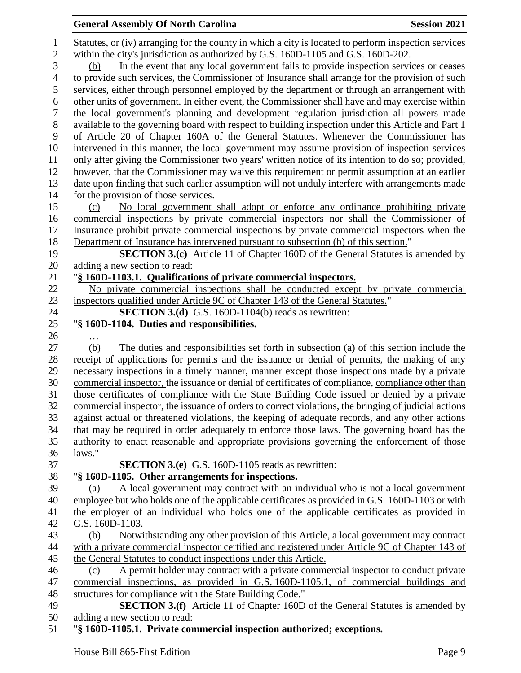Statutes, or (iv) arranging for the county in which a city is located to perform inspection services within the city's jurisdiction as authorized by G.S. 160D-1105 and G.S. 160D-202. (b) In the event that any local government fails to provide inspection services or ceases to provide such services, the Commissioner of Insurance shall arrange for the provision of such services, either through personnel employed by the department or through an arrangement with other units of government. In either event, the Commissioner shall have and may exercise within the local government's planning and development regulation jurisdiction all powers made available to the governing board with respect to building inspection under this Article and Part 1 of Article 20 of Chapter 160A of the General Statutes. Whenever the Commissioner has intervened in this manner, the local government may assume provision of inspection services only after giving the Commissioner two years' written notice of its intention to do so; provided, however, that the Commissioner may waive this requirement or permit assumption at an earlier date upon finding that such earlier assumption will not unduly interfere with arrangements made for the provision of those services. (c) No local government shall adopt or enforce any ordinance prohibiting private commercial inspections by private commercial inspectors nor shall the Commissioner of 17 Insurance prohibit private commercial inspections by private commercial inspectors when the Department of Insurance has intervened pursuant to subsection (b) of this section." **SECTION 3.(c)** Article 11 of Chapter 160D of the General Statutes is amended by adding a new section to read: "**§ 160D-1103.1. Qualifications of private commercial inspectors.** No private commercial inspections shall be conducted except by private commercial inspectors qualified under Article 9C of Chapter 143 of the General Statutes." **SECTION 3.(d)** G.S. 160D-1104(b) reads as rewritten: "**§ 160D-1104. Duties and responsibilities.** … (b) The duties and responsibilities set forth in subsection (a) of this section include the receipt of applications for permits and the issuance or denial of permits, the making of any 29 necessary inspections in a timely manner, manner except those inspections made by a private 30 commercial inspector, the issuance or denial of certificates of compliance, compliance other than those certificates of compliance with the State Building Code issued or denied by a private commercial inspector, the issuance of orders to correct violations, the bringing of judicial actions against actual or threatened violations, the keeping of adequate records, and any other actions that may be required in order adequately to enforce those laws. The governing board has the authority to enact reasonable and appropriate provisions governing the enforcement of those laws." **SECTION 3.(e)** G.S. 160D-1105 reads as rewritten: "**§ 160D-1105. Other arrangements for inspections.** (a) A local government may contract with an individual who is not a local government employee but who holds one of the applicable certificates as provided in G.S. 160D-1103 or with the employer of an individual who holds one of the applicable certificates as provided in G.S. 160D-1103. (b) Notwithstanding any other provision of this Article, a local government may contract with a private commercial inspector certified and registered under Article 9C of Chapter 143 of the General Statutes to conduct inspections under this Article. (c) A permit holder may contract with a private commercial inspector to conduct private commercial inspections, as provided in G.S. 160D-1105.1, of commercial buildings and structures for compliance with the State Building Code." **SECTION 3.(f)** Article 11 of Chapter 160D of the General Statutes is amended by adding a new section to read:

# "**§ 160D-1105.1. Private commercial inspection authorized; exceptions.**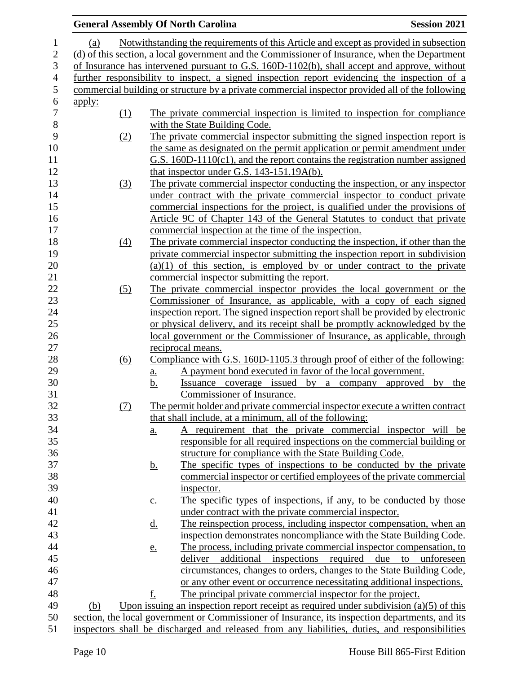|                |                                                                                                |                   |                   | <b>General Assembly Of North Carolina</b>                                                        | <b>Session 2021</b>            |  |
|----------------|------------------------------------------------------------------------------------------------|-------------------|-------------------|--------------------------------------------------------------------------------------------------|--------------------------------|--|
| 1              | (a)                                                                                            |                   |                   | Notwithstanding the requirements of this Article and except as provided in subsection            |                                |  |
| $\sqrt{2}$     | (d) of this section, a local government and the Commissioner of Insurance, when the Department |                   |                   |                                                                                                  |                                |  |
| 3              | of Insurance has intervened pursuant to G.S. 160D-1102(b), shall accept and approve, without   |                   |                   |                                                                                                  |                                |  |
| $\overline{4}$ | further responsibility to inspect, a signed inspection report evidencing the inspection of a   |                   |                   |                                                                                                  |                                |  |
| $\mathfrak{S}$ |                                                                                                |                   |                   | commercial building or structure by a private commercial inspector provided all of the following |                                |  |
| $\sqrt{6}$     | <u>apply:</u>                                                                                  |                   |                   |                                                                                                  |                                |  |
| $\overline{7}$ |                                                                                                | (1)               |                   | The private commercial inspection is limited to inspection for compliance                        |                                |  |
| $\,8\,$        |                                                                                                |                   |                   | with the State Building Code.                                                                    |                                |  |
| 9              |                                                                                                | (2)               |                   | The private commercial inspector submitting the signed inspection report is                      |                                |  |
| 10             |                                                                                                |                   |                   | the same as designated on the permit application or permit amendment under                       |                                |  |
| 11             |                                                                                                |                   |                   | G.S. 160D-1110(c1), and the report contains the registration number assigned                     |                                |  |
| 12             |                                                                                                |                   |                   | that inspector under G.S. 143-151.19A(b).                                                        |                                |  |
| 13             |                                                                                                | (3)               |                   | The private commercial inspector conducting the inspection, or any inspector                     |                                |  |
| 14             |                                                                                                |                   |                   | under contract with the private commercial inspector to conduct private                          |                                |  |
| 15             |                                                                                                |                   |                   | commercial inspections for the project, is qualified under the provisions of                     |                                |  |
| 16             |                                                                                                |                   |                   | Article 9C of Chapter 143 of the General Statutes to conduct that private                        |                                |  |
| 17             |                                                                                                |                   |                   | commercial inspection at the time of the inspection.                                             |                                |  |
| 18             |                                                                                                | $\underline{(4)}$ |                   | The private commercial inspector conducting the inspection, if other than the                    |                                |  |
| 19             |                                                                                                |                   |                   | private commercial inspector submitting the inspection report in subdivision                     |                                |  |
| 20             |                                                                                                |                   |                   | $(a)(1)$ of this section, is employed by or under contract to the private                        |                                |  |
| 21             |                                                                                                |                   |                   | commercial inspector submitting the report.                                                      |                                |  |
| 22             |                                                                                                | (5)               |                   | The private commercial inspector provides the local government or the                            |                                |  |
| 23             |                                                                                                |                   |                   | Commissioner of Insurance, as applicable, with a copy of each signed                             |                                |  |
| 24             |                                                                                                |                   |                   | inspection report. The signed inspection report shall be provided by electronic                  |                                |  |
| 25             |                                                                                                |                   |                   | or physical delivery, and its receipt shall be promptly acknowledged by the                      |                                |  |
| $26\,$         |                                                                                                |                   |                   | local government or the Commissioner of Insurance, as applicable, through                        |                                |  |
| 27             |                                                                                                |                   |                   | reciprocal means.                                                                                |                                |  |
| 28             |                                                                                                | (6)               |                   | Compliance with G.S. 160D-1105.3 through proof of either of the following:                       |                                |  |
| 29             |                                                                                                |                   | <u>a.</u>         | A payment bond executed in favor of the local government.                                        |                                |  |
| 30             |                                                                                                |                   | <u>b.</u>         | Issuance coverage issued by a company approved                                                   | $\mathbf{b} \mathbf{v}$<br>the |  |
| 31             |                                                                                                |                   |                   | Commissioner of Insurance.                                                                       |                                |  |
| 32             |                                                                                                | (7)               |                   | The permit holder and private commercial inspector execute a written contract                    |                                |  |
| 33             |                                                                                                |                   |                   | that shall include, at a minimum, all of the following:                                          |                                |  |
| 34             |                                                                                                |                   | $\underline{a}$ . | requirement that the private commercial inspector will be                                        |                                |  |
| 35             |                                                                                                |                   |                   | responsible for all required inspections on the commercial building or                           |                                |  |
| 36             |                                                                                                |                   |                   | structure for compliance with the State Building Code.                                           |                                |  |
| 37             |                                                                                                |                   | <u>b.</u>         | The specific types of inspections to be conducted by the private                                 |                                |  |
| 38             |                                                                                                |                   |                   | commercial inspector or certified employees of the private commercial                            |                                |  |
| 39             |                                                                                                |                   |                   | inspector.                                                                                       |                                |  |
| 40             |                                                                                                |                   | $\underline{C}$ . | The specific types of inspections, if any, to be conducted by those                              |                                |  |
| 41             |                                                                                                |                   |                   | under contract with the private commercial inspector.                                            |                                |  |
| 42             |                                                                                                |                   | <u>d.</u>         | The reinspection process, including inspector compensation, when an                              |                                |  |
| 43             |                                                                                                |                   |                   | inspection demonstrates noncompliance with the State Building Code.                              |                                |  |
| 44             |                                                                                                |                   | e.                | The process, including private commercial inspector compensation, to                             |                                |  |
| 45             |                                                                                                |                   |                   | additional inspections required due to<br>deliver                                                | unforeseen                     |  |
| 46             |                                                                                                |                   |                   | circumstances, changes to orders, changes to the State Building Code,                            |                                |  |
| 47             |                                                                                                |                   |                   | or any other event or occurrence necessitating additional inspections.                           |                                |  |
| 48             |                                                                                                |                   | f.                | The principal private commercial inspector for the project.                                      |                                |  |
| 49             | (b)                                                                                            |                   |                   | Upon issuing an inspection report receipt as required under subdivision $(a)(5)$ of this         |                                |  |
| 50             |                                                                                                |                   |                   | section, the local government or Commissioner of Insurance, its inspection departments, and its  |                                |  |
| 51             |                                                                                                |                   |                   | inspectors shall be discharged and released from any liabilities, duties, and responsibilities   |                                |  |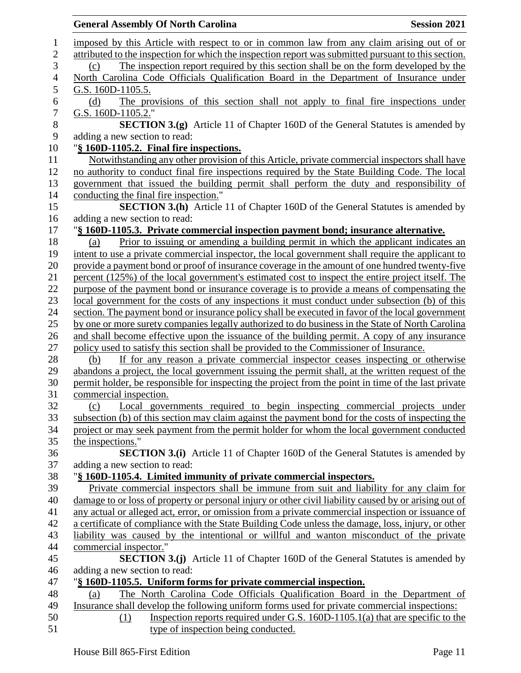|                               | <b>General Assembly Of North Carolina</b>                                                             | <b>Session 2021</b> |
|-------------------------------|-------------------------------------------------------------------------------------------------------|---------------------|
|                               | imposed by this Article with respect to or in common law from any claim arising out of or             |                     |
|                               | attributed to the inspection for which the inspection report was submitted pursuant to this section.  |                     |
| (c)                           | The inspection report required by this section shall be on the form developed by the                  |                     |
|                               | North Carolina Code Officials Qualification Board in the Department of Insurance under                |                     |
| G.S. 160D-1105.5.             |                                                                                                       |                     |
| (d)                           | The provisions of this section shall not apply to final fire inspections under                        |                     |
| G.S. 160D-1105.2."            |                                                                                                       |                     |
|                               | <b>SECTION 3.(g)</b> Article 11 of Chapter 160D of the General Statutes is amended by                 |                     |
| adding a new section to read: |                                                                                                       |                     |
|                               | "§ 160D-1105.2. Final fire inspections.                                                               |                     |
|                               | Notwithstanding any other provision of this Article, private commercial inspectors shall have         |                     |
|                               | no authority to conduct final fire inspections required by the State Building Code. The local         |                     |
|                               | government that issued the building permit shall perform the duty and responsibility of               |                     |
|                               | conducting the final fire inspection."                                                                |                     |
|                               | <b>SECTION 3.(h)</b> Article 11 of Chapter 160D of the General Statutes is amended by                 |                     |
| adding a new section to read: |                                                                                                       |                     |
|                               | "§ 160D-1105.3. Private commercial inspection payment bond; insurance alternative.                    |                     |
| (a)                           | Prior to issuing or amending a building permit in which the applicant indicates an                    |                     |
|                               | intent to use a private commercial inspector, the local government shall require the applicant to     |                     |
|                               | provide a payment bond or proof of insurance coverage in the amount of one hundred twenty-five        |                     |
|                               | percent (125%) of the local government's estimated cost to inspect the entire project itself. The     |                     |
|                               | purpose of the payment bond or insurance coverage is to provide a means of compensating the           |                     |
|                               | local government for the costs of any inspections it must conduct under subsection (b) of this        |                     |
|                               | section. The payment bond or insurance policy shall be executed in favor of the local government      |                     |
|                               | by one or more surety companies legally authorized to do business in the State of North Carolina      |                     |
|                               | and shall become effective upon the issuance of the building permit. A copy of any insurance          |                     |
|                               | policy used to satisfy this section shall be provided to the Commissioner of Insurance.               |                     |
| (b)                           | If for any reason a private commercial inspector ceases inspecting or otherwise                       |                     |
|                               | abandons a project, the local government issuing the permit shall, at the written request of the      |                     |
|                               | permit holder, be responsible for inspecting the project from the point in time of the last private   |                     |
| commercial inspection.        |                                                                                                       |                     |
| (c)                           | Local governments required to begin inspecting commercial projects under                              |                     |
|                               | subsection (b) of this section may claim against the payment bond for the costs of inspecting the     |                     |
|                               | project or may seek payment from the permit holder for whom the local government conducted            |                     |
| the inspections."             |                                                                                                       |                     |
|                               | <b>SECTION 3.(i)</b> Article 11 of Chapter 160D of the General Statutes is amended by                 |                     |
| adding a new section to read: |                                                                                                       |                     |
|                               | "§ 160D-1105.4. Limited immunity of private commercial inspectors.                                    |                     |
|                               | Private commercial inspectors shall be immune from suit and liability for any claim for               |                     |
|                               | damage to or loss of property or personal injury or other civil liability caused by or arising out of |                     |
|                               | any actual or alleged act, error, or omission from a private commercial inspection or issuance of     |                     |
|                               | a certificate of compliance with the State Building Code unless the damage, loss, injury, or other    |                     |
|                               | liability was caused by the intentional or willful and wanton misconduct of the private               |                     |
| commercial inspector."        |                                                                                                       |                     |
|                               | <b>SECTION 3.(j)</b> Article 11 of Chapter 160D of the General Statutes is amended by                 |                     |
| adding a new section to read: |                                                                                                       |                     |
|                               | "§ 160D-1105.5. Uniform forms for private commercial inspection.                                      |                     |
| (a)                           | The North Carolina Code Officials Qualification Board in the Department of                            |                     |
|                               | Insurance shall develop the following uniform forms used for private commercial inspections:          |                     |
| (1)                           | Inspection reports required under G.S. $160D-1105.1(a)$ that are specific to the                      |                     |
|                               | type of inspection being conducted.                                                                   |                     |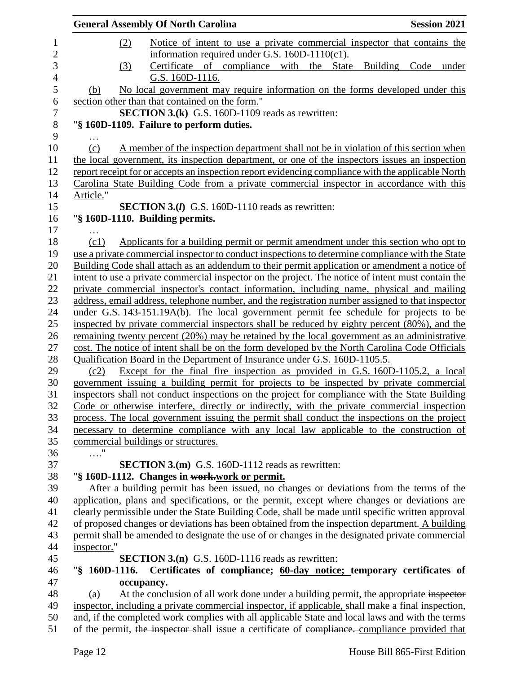|             | <b>General Assembly Of North Carolina</b>                                                          | <b>Session 2021</b> |
|-------------|----------------------------------------------------------------------------------------------------|---------------------|
| (2)         | Notice of intent to use a private commercial inspector that contains the                           |                     |
|             | information required under G.S. $160D-1110(c1)$ .                                                  |                     |
| (3)         | Certificate of compliance with the State                                                           | Building Code under |
|             | G.S. 160D-1116.                                                                                    |                     |
| (b)         | No local government may require information on the forms developed under this                      |                     |
|             | section other than that contained on the form."                                                    |                     |
|             | <b>SECTION 3.(k)</b> G.S. 160D-1109 reads as rewritten:                                            |                     |
|             | "§ 160D-1109. Failure to perform duties.                                                           |                     |
|             |                                                                                                    |                     |
| (c)         | A member of the inspection department shall not be in violation of this section when               |                     |
|             | the local government, its inspection department, or one of the inspectors issues an inspection     |                     |
|             | report receipt for or accepts an inspection report evidencing compliance with the applicable North |                     |
|             | Carolina State Building Code from a private commercial inspector in accordance with this           |                     |
| Article."   |                                                                                                    |                     |
|             | <b>SECTION 3.(I)</b> G.S. 160D-1110 reads as rewritten:                                            |                     |
|             | "§ 160D-1110. Building permits.                                                                    |                     |
| .           |                                                                                                    |                     |
| (c1)        | Applicants for a building permit or permit amendment under this section who opt to                 |                     |
|             | use a private commercial inspector to conduct inspections to determine compliance with the State   |                     |
|             | Building Code shall attach as an addendum to their permit application or amendment a notice of     |                     |
|             | intent to use a private commercial inspector on the project. The notice of intent must contain the |                     |
|             | private commercial inspector's contact information, including name, physical and mailing           |                     |
|             | address, email address, telephone number, and the registration number assigned to that inspector   |                     |
|             | under G.S. 143-151.19A(b). The local government permit fee schedule for projects to be             |                     |
|             | inspected by private commercial inspectors shall be reduced by eighty percent (80%), and the       |                     |
|             | remaining twenty percent (20%) may be retained by the local government as an administrative        |                     |
|             | cost. The notice of intent shall be on the form developed by the North Carolina Code Officials     |                     |
|             | Qualification Board in the Department of Insurance under G.S. 160D-1105.5.                         |                     |
| (c2)        | Except for the final fire inspection as provided in G.S. 160D-1105.2, a local                      |                     |
|             | government issuing a building permit for projects to be inspected by private commercial            |                     |
|             | inspectors shall not conduct inspections on the project for compliance with the State Building     |                     |
|             | Code or otherwise interfere, directly or indirectly, with the private commercial inspection        |                     |
|             | process. The local government issuing the permit shall conduct the inspections on the project      |                     |
|             | necessary to determine compliance with any local law applicable to the construction of             |                     |
|             | commercial buildings or structures.                                                                |                     |
| $\ldots$ "  |                                                                                                    |                     |
|             | <b>SECTION 3.(m)</b> G.S. 160D-1112 reads as rewritten:                                            |                     |
|             | "§ 160D-1112. Changes in work-work or permit.                                                      |                     |
|             | After a building permit has been issued, no changes or deviations from the terms of the            |                     |
|             | application, plans and specifications, or the permit, except where changes or deviations are       |                     |
|             | clearly permissible under the State Building Code, shall be made until specific written approval   |                     |
|             | of proposed changes or deviations has been obtained from the inspection department. A building     |                     |
|             | permit shall be amended to designate the use of or changes in the designated private commercial    |                     |
| inspector." |                                                                                                    |                     |
|             | <b>SECTION 3.(n)</b> G.S. 160D-1116 reads as rewritten:                                            |                     |
|             | "§ 160D-1116. Certificates of compliance; 60-day notice; temporary certificates of                 |                     |
|             | occupancy.                                                                                         |                     |
| (a)         | At the conclusion of all work done under a building permit, the appropriate inspector              |                     |
|             | inspector, including a private commercial inspector, if applicable, shall make a final inspection, |                     |
|             | and, if the completed work complies with all applicable State and local laws and with the terms    |                     |
|             | of the permit, the inspector-shall issue a certificate of compliance. compliance provided that     |                     |